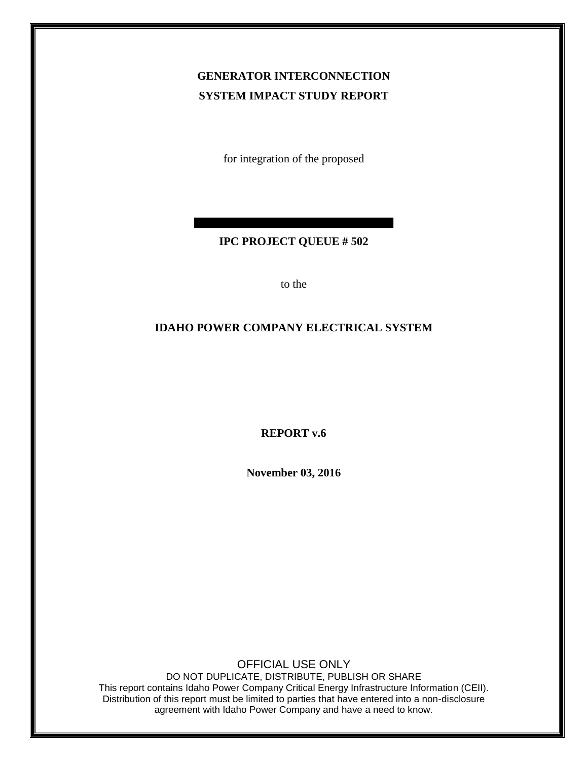## **GENERATOR INTERCONNECTION SYSTEM IMPACT STUDY REPORT**

for integration of the proposed

#### **IPC PROJECT QUEUE # 502**

to the

#### **IDAHO POWER COMPANY ELECTRICAL SYSTEM**

**REPORT v.6**

**November 03, 2016**

OFFICIAL USE ONLY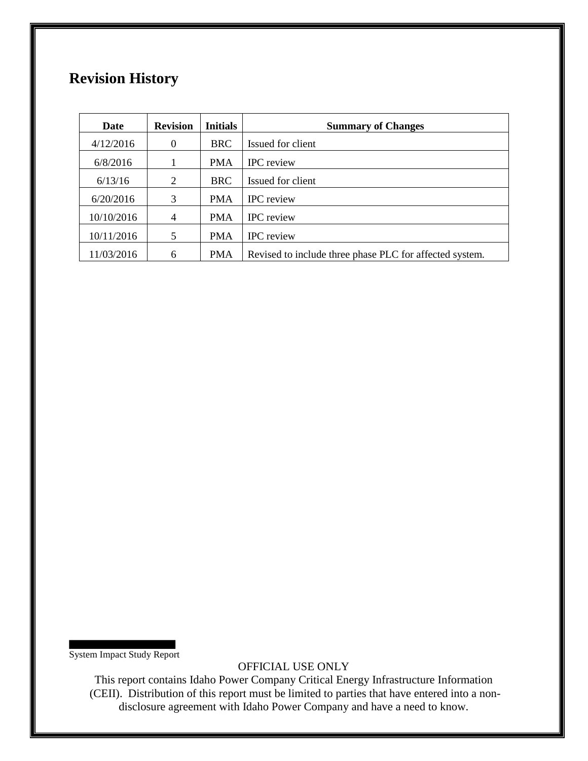# **Revision History**

| Date       | <b>Revision</b> | <b>Initials</b> | <b>Summary of Changes</b>                               |
|------------|-----------------|-----------------|---------------------------------------------------------|
| 4/12/2016  | $\Omega$        | <b>BRC</b>      | Issued for client                                       |
| 6/8/2016   |                 | <b>PMA</b>      | <b>IPC</b> review                                       |
| 6/13/16    | 2               | <b>BRC</b>      | Issued for client                                       |
| 6/20/2016  | 3               | <b>PMA</b>      | <b>IPC</b> review                                       |
| 10/10/2016 | 4               | <b>PMA</b>      | <b>IPC</b> review                                       |
| 10/11/2016 | 5               | <b>PMA</b>      | <b>IPC</b> review                                       |
| 11/03/2016 | 6               | PMA             | Revised to include three phase PLC for affected system. |

System Impact Study Report

OFFICIAL USE ONLY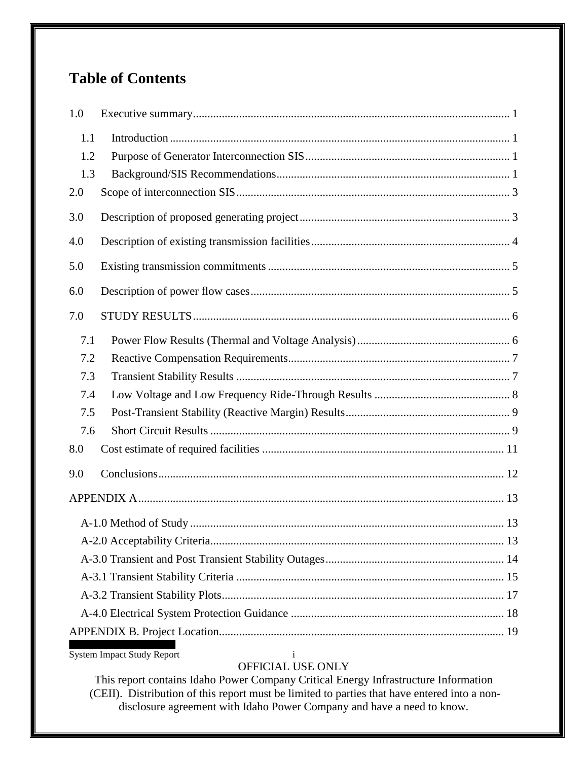# **Table of Contents**

| 1.0 |  |  |  |  |  |  |
|-----|--|--|--|--|--|--|
| 1.1 |  |  |  |  |  |  |
| 1.2 |  |  |  |  |  |  |
| 1.3 |  |  |  |  |  |  |
| 2.0 |  |  |  |  |  |  |
| 3.0 |  |  |  |  |  |  |
| 4.0 |  |  |  |  |  |  |
| 5.0 |  |  |  |  |  |  |
| 6.0 |  |  |  |  |  |  |
| 7.0 |  |  |  |  |  |  |
| 7.1 |  |  |  |  |  |  |
| 7.2 |  |  |  |  |  |  |
| 7.3 |  |  |  |  |  |  |
| 7.4 |  |  |  |  |  |  |
| 7.5 |  |  |  |  |  |  |
| 7.6 |  |  |  |  |  |  |
| 8.0 |  |  |  |  |  |  |
| 9.0 |  |  |  |  |  |  |
|     |  |  |  |  |  |  |
|     |  |  |  |  |  |  |
|     |  |  |  |  |  |  |
|     |  |  |  |  |  |  |
|     |  |  |  |  |  |  |
|     |  |  |  |  |  |  |
|     |  |  |  |  |  |  |
|     |  |  |  |  |  |  |
|     |  |  |  |  |  |  |

System Impact Study Report i

### OFFICIAL USE ONLY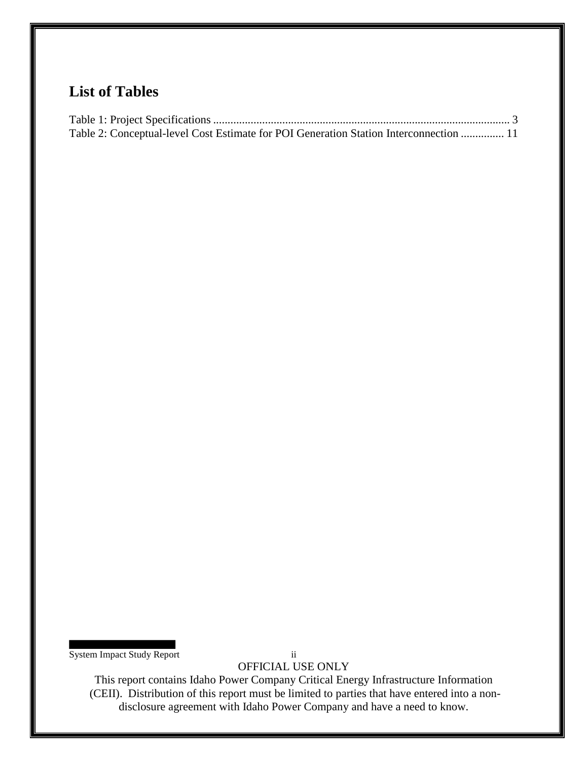# **List of Tables**

| Table 2: Conceptual-level Cost Estimate for POI Generation Station Interconnection  11 |  |
|----------------------------------------------------------------------------------------|--|

System Impact Study Report ii

OFFICIAL USE ONLY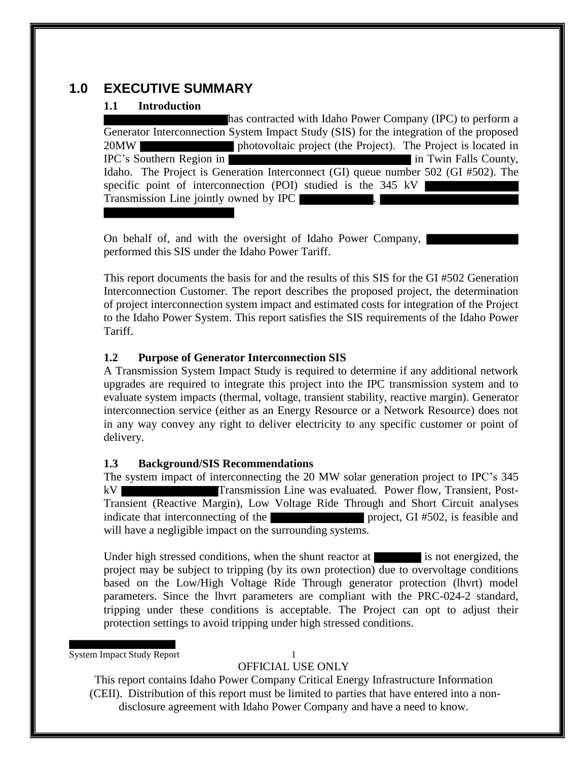### **1.0 EXECUTIVE SUMMARY**

#### **1.1 Introduction**

has contracted with Idaho Power Company (IPC) to perform a Generator Interconnection System Impact Study (SIS) for the integration of the proposed 20MW photovoltaic project (the Project). The Project is located in IPC's Southern Region in **in Twin Falls County**, Idaho. The Project is Generation Interconnect (GI) queue number 502 (GI #502). The specific point of interconnection (POI) studied is the 345 kV Transmission Line jointly owned by IPC ,

On behalf of, and with the oversight of Idaho Power Company, performed this SIS under the Idaho Power Tariff.

This report documents the basis for and the results of this SIS for the GI #502 Generation Interconnection Customer. The report describes the proposed project, the determination of project interconnection system impact and estimated costs for integration of the Project to the Idaho Power System. This report satisfies the SIS requirements of the Idaho Power Tariff.

#### **1.2 Purpose of Generator Interconnection SIS**

A Transmission System Impact Study is required to determine if any additional network upgrades are required to integrate this project into the IPC transmission system and to evaluate system impacts (thermal, voltage, transient stability, reactive margin). Generator interconnection service (either as an Energy Resource or a Network Resource) does not in any way convey any right to deliver electricity to any specific customer or point of delivery.

#### **1.3 Background/SIS Recommendations**

The system impact of interconnecting the 20 MW solar generation project to IPC's 345 kV Transmission Line was evaluated. Power flow, Transient, Post-Transient (Reactive Margin), Low Voltage Ride Through and Short Circuit analyses indicate that interconnecting of the project, GI #502, is feasible and will have a negligible impact on the surrounding systems.

Under high stressed conditions, when the shunt reactor at is not energized, the project may be subject to tripping (by its own protection) due to overvoltage conditions based on the Low/High Voltage Ride Through generator protection (lhvrt) model parameters. Since the lhvrt parameters are compliant with the PRC-024-2 standard, tripping under these conditions is acceptable. The Project can opt to adjust their protection settings to avoid tripping under high stressed conditions.

System Impact Study Report 1

OFFICIAL USE ONLY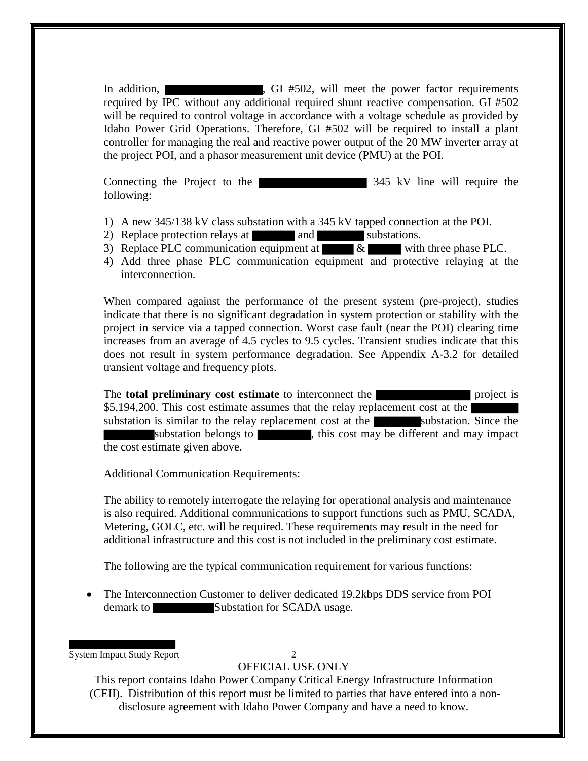In addition, GI #502, will meet the power factor requirements required by IPC without any additional required shunt reactive compensation. GI #502 will be required to control voltage in accordance with a voltage schedule as provided by Idaho Power Grid Operations. Therefore, GI #502 will be required to install a plant controller for managing the real and reactive power output of the 20 MW inverter array at the project POI, and a phasor measurement unit device (PMU) at the POI.

Connecting the Project to the 345 kV line will require the following:

- 1) A new 345/138 kV class substation with a 345 kV tapped connection at the POI.
- 2) Replace protection relays at and and substations.
- 3) Replace PLC communication equipment at  $\overline{\&}$  with three phase PLC.
- 4) Add three phase PLC communication equipment and protective relaying at the interconnection.

When compared against the performance of the present system (pre-project), studies indicate that there is no significant degradation in system protection or stability with the project in service via a tapped connection. Worst case fault (near the POI) clearing time increases from an average of 4.5 cycles to 9.5 cycles. Transient studies indicate that this does not result in system performance degradation. See Appendix A-3.2 for detailed transient voltage and frequency plots.

The **total preliminary cost estimate** to interconnect the **project** is \$5,194,200. This cost estimate assumes that the relay replacement cost at the substation is similar to the relay replacement cost at the substation. Since the substation belongs to  $\blacksquare$ , this cost may be different and may impact the cost estimate given above.

Additional Communication Requirements:

The ability to remotely interrogate the relaying for operational analysis and maintenance is also required. Additional communications to support functions such as PMU, SCADA, Metering, GOLC, etc. will be required. These requirements may result in the need for additional infrastructure and this cost is not included in the preliminary cost estimate.

The following are the typical communication requirement for various functions:

 The Interconnection Customer to deliver dedicated 19.2kbps DDS service from POI demark to Substation for SCADA usage.

System Impact Study Report 2

### OFFICIAL USE ONLY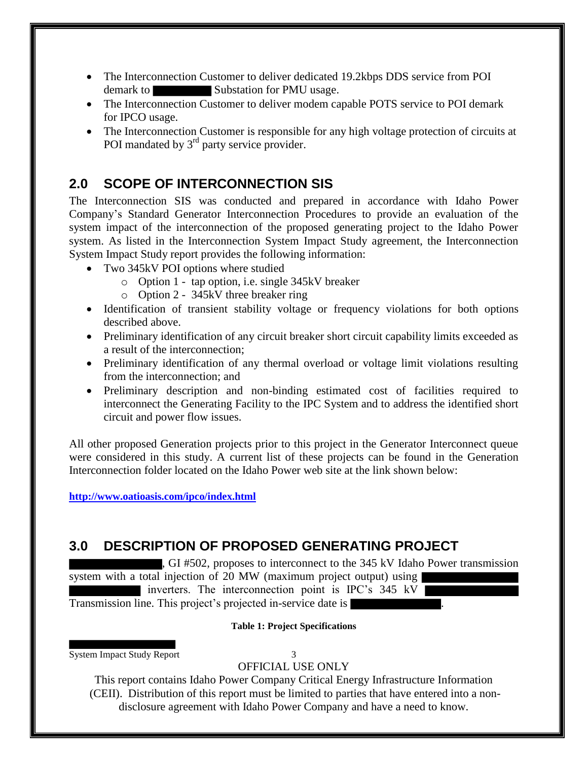- The Interconnection Customer to deliver dedicated 19.2kbps DDS service from POI demark to Substation for PMU usage.
- The Interconnection Customer to deliver modem capable POTS service to POI demark for IPCO usage.
- The Interconnection Customer is responsible for any high voltage protection of circuits at POI mandated by  $3<sup>rd</sup>$  party service provider.

## **2.0 SCOPE OF INTERCONNECTION SIS**

The Interconnection SIS was conducted and prepared in accordance with Idaho Power Company's Standard Generator Interconnection Procedures to provide an evaluation of the system impact of the interconnection of the proposed generating project to the Idaho Power system. As listed in the Interconnection System Impact Study agreement, the Interconnection System Impact Study report provides the following information:

- Two 345kV POI options where studied
	- o Option 1 tap option, i.e. single 345kV breaker
	- o Option 2 345kV three breaker ring
- Identification of transient stability voltage or frequency violations for both options described above.
- Preliminary identification of any circuit breaker short circuit capability limits exceeded as a result of the interconnection;
- Preliminary identification of any thermal overload or voltage limit violations resulting from the interconnection; and
- Preliminary description and non-binding estimated cost of facilities required to interconnect the Generating Facility to the IPC System and to address the identified short circuit and power flow issues.

All other proposed Generation projects prior to this project in the Generator Interconnect queue were considered in this study. A current list of these projects can be found in the Generation Interconnection folder located on the Idaho Power web site at the link shown below:

**http://www.oatioasis.com/ipco/index.html**

# **3.0 DESCRIPTION OF PROPOSED GENERATING PROJECT**

, GI #502, proposes to interconnect to the 345 kV Idaho Power transmission system with a total injection of 20 MW (maximum project output) using

inverters. The interconnection point is IPC's 345 kV

Transmission line. This project's projected in-service date is .

#### **Table 1: Project Specifications**

System Impact Study Report 3

OFFICIAL USE ONLY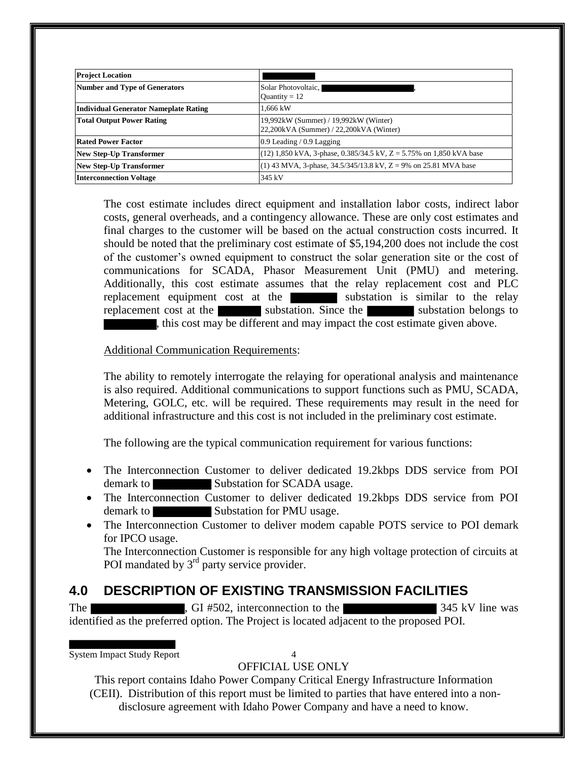| <b>Project Location</b>                      |                                                                                  |
|----------------------------------------------|----------------------------------------------------------------------------------|
| <b>Number and Type of Generators</b>         | Solar Photovoltaic,<br>Quantity = $12$                                           |
| <b>Individual Generator Nameplate Rating</b> | 1.666 kW                                                                         |
| <b>Total Output Power Rating</b>             | 19,992kW (Summer) / 19,992kW (Winter)<br>22,200kVA (Summer) / 22,200kVA (Winter) |
| <b>Rated Power Factor</b>                    | $0.9$ Leading $/ 0.9$ Lagging                                                    |
| <b>New Step-Up Transformer</b>               | $(12)$ 1,850 kVA, 3-phase, 0.385/34.5 kV, Z = 5.75% on 1,850 kVA base            |
| <b>New Step-Up Transformer</b>               | (1) 43 MVA, 3-phase, 34.5/345/13.8 kV, Z = 9% on 25.81 MVA base                  |
| <b>Interconnection Voltage</b>               | 345 kV                                                                           |

The cost estimate includes direct equipment and installation labor costs, indirect labor costs, general overheads, and a contingency allowance. These are only cost estimates and final charges to the customer will be based on the actual construction costs incurred. It should be noted that the preliminary cost estimate of \$5,194,200 does not include the cost of the customer's owned equipment to construct the solar generation site or the cost of communications for SCADA, Phasor Measurement Unit (PMU) and metering. Additionally, this cost estimate assumes that the relay replacement cost and PLC replacement equipment cost at the substation is similar to the relay replacement cost at the substation. Since the substation belongs to , this cost may be different and may impact the cost estimate given above.

#### Additional Communication Requirements:

The ability to remotely interrogate the relaying for operational analysis and maintenance is also required. Additional communications to support functions such as PMU, SCADA, Metering, GOLC, etc. will be required. These requirements may result in the need for additional infrastructure and this cost is not included in the preliminary cost estimate.

The following are the typical communication requirement for various functions:

- The Interconnection Customer to deliver dedicated 19.2kbps DDS service from POI demark to Substation for SCADA usage.
- The Interconnection Customer to deliver dedicated 19.2kbps DDS service from POI demark to Substation for PMU usage.
- The Interconnection Customer to deliver modem capable POTS service to POI demark for IPCO usage.

The Interconnection Customer is responsible for any high voltage protection of circuits at POI mandated by  $3<sup>rd</sup>$  party service provider.

## **4.0 DESCRIPTION OF EXISTING TRANSMISSION FACILITIES**

The GI #502, interconnection to the 345 kV line was identified as the preferred option. The Project is located adjacent to the proposed POI.

System Impact Study Report 4

### OFFICIAL USE ONLY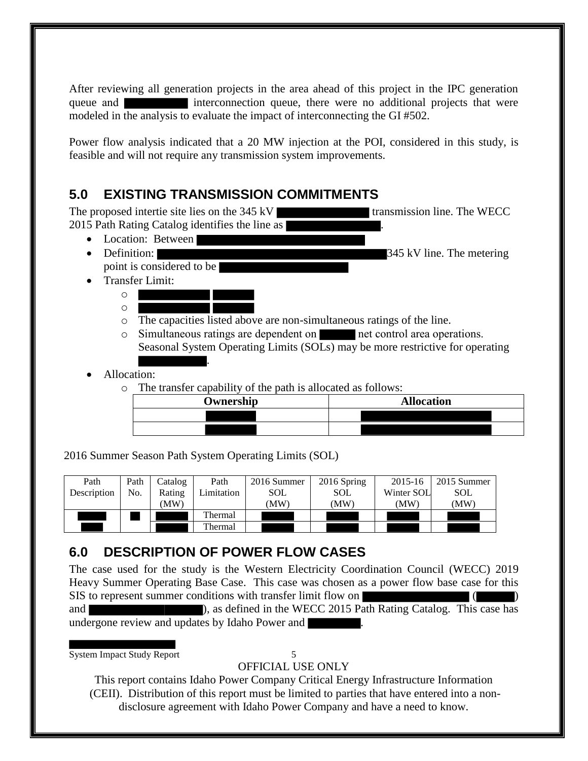After reviewing all generation projects in the area ahead of this project in the IPC generation queue and **interconnection** queue, there were no additional projects that were modeled in the analysis to evaluate the impact of interconnecting the GI #502.

Power flow analysis indicated that a 20 MW injection at the POI, considered in this study, is feasible and will not require any transmission system improvements.

# **5.0 EXISTING TRANSMISSION COMMITMENTS**

The proposed intertie site lies on the 345 kV transmission line. The WECC 2015 Path Rating Catalog identifies the line as • Location: Between

- Definition: 345 kV line. The metering
	- point is considered to be
- Transfer Limit: o
	- o
	- o The capacities listed above are non-simultaneous ratings of the line.
	- o Simultaneous ratings are dependent on net control area operations. Seasonal System Operating Limits (SOLs) may be more restrictive for operating .
- Allocation:
	- o The transfer capability of the path is allocated as follows:

| Ownership | <b>Allocation</b> |  |  |  |  |
|-----------|-------------------|--|--|--|--|
|           |                   |  |  |  |  |
|           |                   |  |  |  |  |

2016 Summer Season Path System Operating Limits (SOL)

| Path        | Path | Catalog | Path       | 2016 Summer | 2016 Spring | 2015-16    | 2015 Summer |
|-------------|------|---------|------------|-------------|-------------|------------|-------------|
| Description | No.  | Rating  | Limitation | <b>SOL</b>  | <b>SOL</b>  | Winter SOL | <b>SOL</b>  |
|             |      | (MW)    |            | (MW)        | (MW)        | (MW)       | (MW)        |
|             |      |         | Thermal    |             |             |            |             |
|             |      |         | Thermal    |             |             |            |             |

## **6.0 DESCRIPTION OF POWER FLOW CASES**

The case used for the study is the Western Electricity Coordination Council (WECC) 2019 Heavy Summer Operating Base Case. This case was chosen as a power flow base case for this SIS to represent summer conditions with transfer limit flow on and **and** ), as defined in the WECC 2015 Path Rating Catalog. This case has undergone review and updates by Idaho Power and .

System Impact Study Report 5

OFFICIAL USE ONLY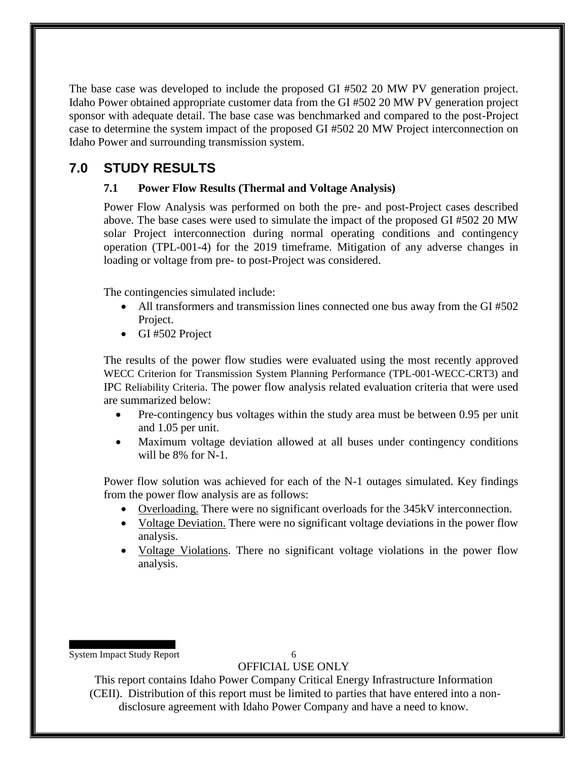The base case was developed to include the proposed GI #502 20 MW PV generation project. Idaho Power obtained appropriate customer data from the GI #502 20 MW PV generation project sponsor with adequate detail. The base case was benchmarked and compared to the post-Project case to determine the system impact of the proposed GI #502 20 MW Project interconnection on Idaho Power and surrounding transmission system.

### **7.0 STUDY RESULTS**

#### **7.1 Power Flow Results (Thermal and Voltage Analysis)**

Power Flow Analysis was performed on both the pre- and post-Project cases described above. The base cases were used to simulate the impact of the proposed GI #502 20 MW solar Project interconnection during normal operating conditions and contingency operation (TPL-001-4) for the 2019 timeframe. Mitigation of any adverse changes in loading or voltage from pre- to post-Project was considered.

The contingencies simulated include:

- All transformers and transmission lines connected one bus away from the GI #502 Project.
- GI #502 Project

The results of the power flow studies were evaluated using the most recently approved WECC Criterion for Transmission System Planning Performance (TPL-001-WECC-CRT3) and IPC Reliability Criteria. The power flow analysis related evaluation criteria that were used are summarized below:

- Pre-contingency bus voltages within the study area must be between 0.95 per unit and 1.05 per unit.
- Maximum voltage deviation allowed at all buses under contingency conditions will be 8% for N-1.

Power flow solution was achieved for each of the N-1 outages simulated. Key findings from the power flow analysis are as follows:

- Overloading. There were no significant overloads for the 345kV interconnection.
- Voltage Deviation. There were no significant voltage deviations in the power flow analysis.
- Voltage Violations. There no significant voltage violations in the power flow analysis.

System Impact Study Report 6

#### OFFICIAL USE ONLY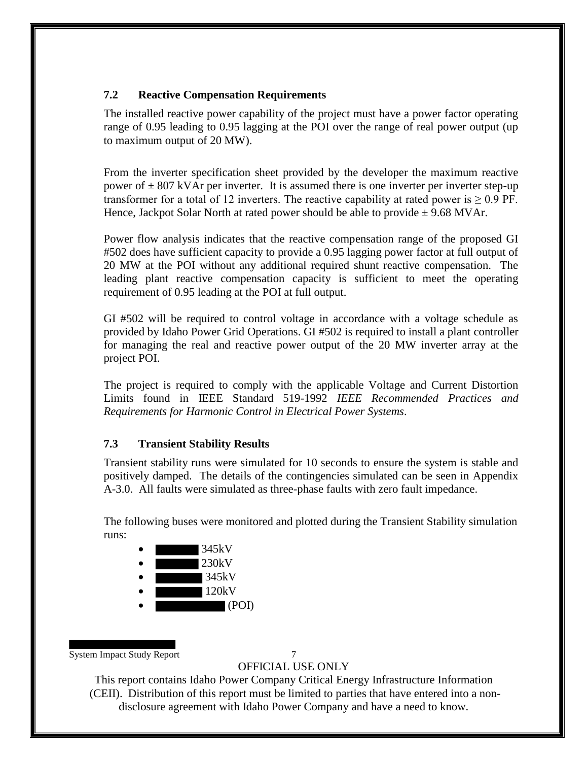#### **7.2 Reactive Compensation Requirements**

The installed reactive power capability of the project must have a power factor operating range of 0.95 leading to 0.95 lagging at the POI over the range of real power output (up to maximum output of 20 MW).

From the inverter specification sheet provided by the developer the maximum reactive power of  $\pm 807$  kVAr per inverter. It is assumed there is one inverter per inverter step-up transformer for a total of 12 inverters. The reactive capability at rated power is  $\geq 0.9$  PF. Hence, Jackpot Solar North at rated power should be able to provide  $\pm$  9.68 MVAr.

Power flow analysis indicates that the reactive compensation range of the proposed GI #502 does have sufficient capacity to provide a 0.95 lagging power factor at full output of 20 MW at the POI without any additional required shunt reactive compensation. The leading plant reactive compensation capacity is sufficient to meet the operating requirement of 0.95 leading at the POI at full output.

GI #502 will be required to control voltage in accordance with a voltage schedule as provided by Idaho Power Grid Operations. GI #502 is required to install a plant controller for managing the real and reactive power output of the 20 MW inverter array at the project POI.

The project is required to comply with the applicable Voltage and Current Distortion Limits found in IEEE Standard 519-1992 *IEEE Recommended Practices and Requirements for Harmonic Control in Electrical Power Systems*.

### **7.3 Transient Stability Results**

Transient stability runs were simulated for 10 seconds to ensure the system is stable and positively damped. The details of the contingencies simulated can be seen in Appendix A-3.0. All faults were simulated as three-phase faults with zero fault impedance.

The following buses were monitored and plotted during the Transient Stability simulation runs:



System Impact Study Report 7

OFFICIAL USE ONLY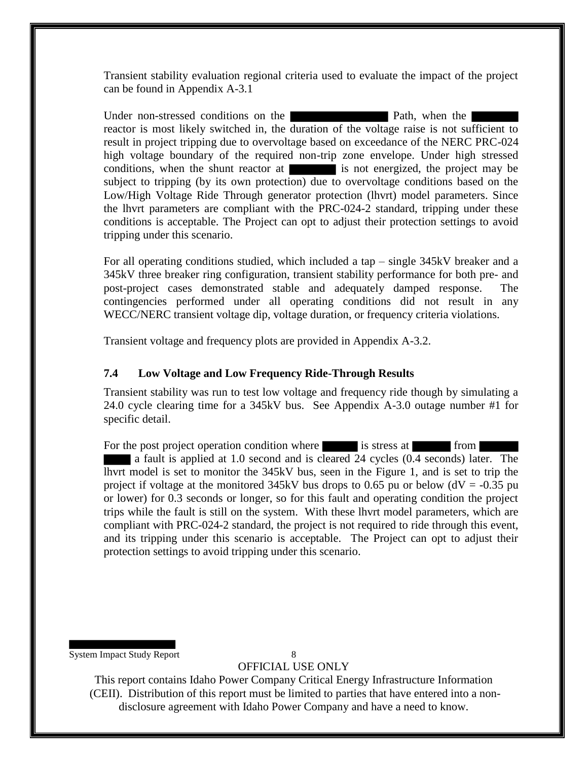Transient stability evaluation regional criteria used to evaluate the impact of the project can be found in Appendix A-3.1

Under non-stressed conditions on the Path, when the reactor is most likely switched in, the duration of the voltage raise is not sufficient to result in project tripping due to overvoltage based on exceedance of the NERC PRC-024 high voltage boundary of the required non-trip zone envelope. Under high stressed conditions, when the shunt reactor at is not energized, the project may be subject to tripping (by its own protection) due to overvoltage conditions based on the Low/High Voltage Ride Through generator protection (lhvrt) model parameters. Since the lhvrt parameters are compliant with the PRC-024-2 standard, tripping under these conditions is acceptable. The Project can opt to adjust their protection settings to avoid tripping under this scenario.

For all operating conditions studied, which included a tap – single 345kV breaker and a 345kV three breaker ring configuration, transient stability performance for both pre- and post-project cases demonstrated stable and adequately damped response. The contingencies performed under all operating conditions did not result in any WECC/NERC transient voltage dip, voltage duration, or frequency criteria violations.

Transient voltage and frequency plots are provided in Appendix A-3.2.

#### **7.4 Low Voltage and Low Frequency Ride-Through Results**

Transient stability was run to test low voltage and frequency ride though by simulating a 24.0 cycle clearing time for a 345kV bus. See Appendix A-3.0 outage number #1 for specific detail.

For the post project operation condition where is stress at from from a fault is applied at 1.0 second and is cleared 24 cycles (0.4 seconds) later. The lhvrt model is set to monitor the 345kV bus, seen in the Figure 1, and is set to trip the project if voltage at the monitored 345kV bus drops to 0.65 pu or below ( $dV = -0.35$  pu or lower) for 0.3 seconds or longer, so for this fault and operating condition the project trips while the fault is still on the system. With these lhvrt model parameters, which are compliant with PRC-024-2 standard, the project is not required to ride through this event, and its tripping under this scenario is acceptable. The Project can opt to adjust their protection settings to avoid tripping under this scenario.

System Impact Study Report 8

OFFICIAL USE ONLY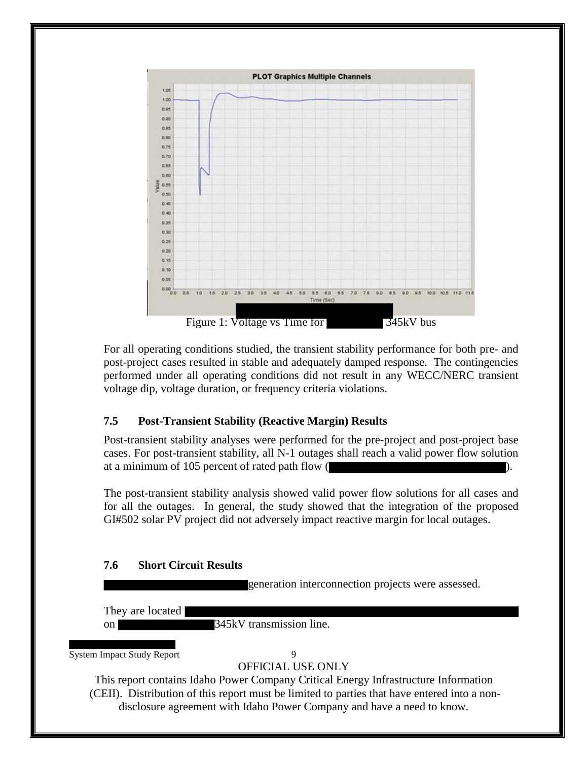

For all operating conditions studied, the transient stability performance for both pre- and post-project cases resulted in stable and adequately damped response. The contingencies performed under all operating conditions did not result in any WECC/NERC transient voltage dip, voltage duration, or frequency criteria violations.

#### **7.5 Post-Transient Stability (Reactive Margin) Results**

Post-transient stability analyses were performed for the pre-project and post-project base cases. For post-transient stability, all N-1 outages shall reach a valid power flow solution at a minimum of 105 percent of rated path flow (

The post-transient stability analysis showed valid power flow solutions for all cases and for all the outages. In general, the study showed that the integration of the proposed GI#502 solar PV project did not adversely impact reactive margin for local outages.

#### **7.6 Short Circuit Results**

generation interconnection projects were assessed.

They are located

on 345kV transmission line.

System Impact Study Report 9

OFFICIAL USE ONLY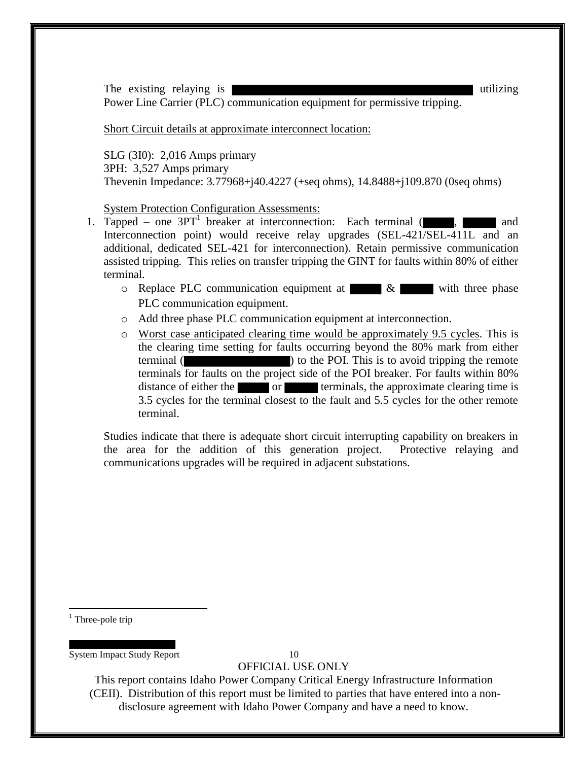The existing relaying is well as the existing relaying is utilizing utilizing Power Line Carrier (PLC) communication equipment for permissive tripping.

Short Circuit details at approximate interconnect location:

SLG (3I0): 2,016 Amps primary 3PH: 3,527 Amps primary Thevenin Impedance: 3.77968+j40.4227 (+seq ohms), 14.8488+j109.870 (0seq ohms)

System Protection Configuration Assessments:

- 1. Tapped one  $3PT<sup>1</sup>$  breaker at interconnection: Each terminal (, , and and Interconnection point) would receive relay upgrades (SEL-421/SEL-411L and an additional, dedicated SEL-421 for interconnection). Retain permissive communication assisted tripping. This relies on transfer tripping the GINT for faults within 80% of either terminal.
	- $\circ$  Replace PLC communication equipment at  $\&$  with three phase PLC communication equipment.
	- o Add three phase PLC communication equipment at interconnection.
	- o Worst case anticipated clearing time would be approximately 9.5 cycles. This is the clearing time setting for faults occurring beyond the 80% mark from either terminal ( ) to the POI. This is to avoid tripping the remote terminals for faults on the project side of the POI breaker. For faults within 80% distance of either the order terminals, the approximate clearing time is 3.5 cycles for the terminal closest to the fault and 5.5 cycles for the other remote terminal.

Studies indicate that there is adequate short circuit interrupting capability on breakers in the area for the addition of this generation project. Protective relaying and communications upgrades will be required in adjacent substations.

 $<sup>1</sup>$  Three-pole trip</sup>

 $\overline{a}$ 

System Impact Study Report 10

OFFICIAL USE ONLY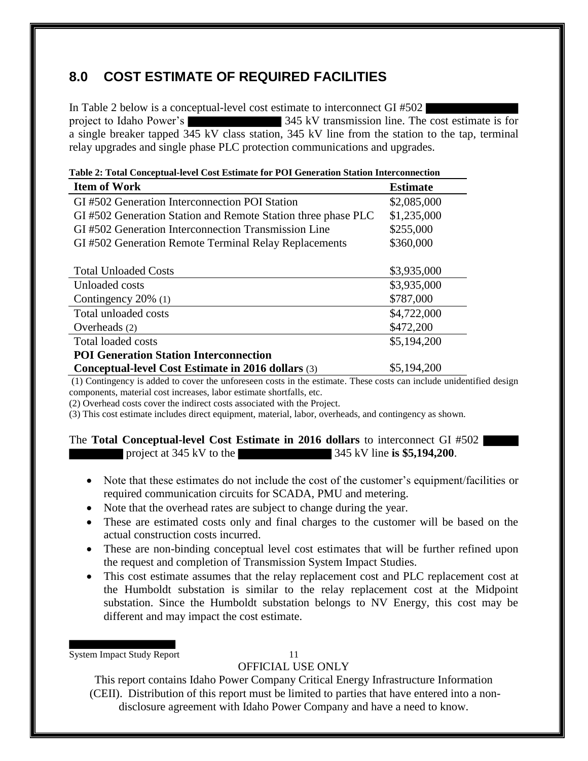# **8.0 COST ESTIMATE OF REQUIRED FACILITIES**

In Table 2 below is a conceptual-level cost estimate to interconnect GI #502 project to Idaho Power's 345 kV transmission line. The cost estimate is for a single breaker tapped 345 kV class station, 345 kV line from the station to the tap, terminal relay upgrades and single phase PLC protection communications and upgrades.

| Table 2: Total Conceptual-level Cost Estimate for POI Generation Station Interconnection |                 |  |  |  |  |
|------------------------------------------------------------------------------------------|-----------------|--|--|--|--|
| <b>Item of Work</b>                                                                      | <b>Estimate</b> |  |  |  |  |
| GI #502 Generation Interconnection POI Station                                           | \$2,085,000     |  |  |  |  |
| GI #502 Generation Station and Remote Station three phase PLC                            | \$1,235,000     |  |  |  |  |
| GI #502 Generation Interconnection Transmission Line                                     | \$255,000       |  |  |  |  |
| GI #502 Generation Remote Terminal Relay Replacements                                    | \$360,000       |  |  |  |  |
|                                                                                          |                 |  |  |  |  |
| <b>Total Unloaded Costs</b>                                                              | \$3,935,000     |  |  |  |  |
| Unloaded costs                                                                           | \$3,935,000     |  |  |  |  |
| Contingency 20% (1)                                                                      | \$787,000       |  |  |  |  |
| Total unloaded costs                                                                     | \$4,722,000     |  |  |  |  |
| Overheads (2)                                                                            | \$472,200       |  |  |  |  |
| Total loaded costs                                                                       | \$5,194,200     |  |  |  |  |
| <b>POI Generation Station Interconnection</b>                                            |                 |  |  |  |  |
| Conceptual-level Cost Estimate in 2016 dollars (3)                                       | \$5,194,200     |  |  |  |  |

(1) Contingency is added to cover the unforeseen costs in the estimate. These costs can include unidentified design components, material cost increases, labor estimate shortfalls, etc.

(2) Overhead costs cover the indirect costs associated with the Project.

(3) This cost estimate includes direct equipment, material, labor, overheads, and contingency as shown.

|  | The Total Conceptual-level Cost Estimate in 2016 dollars to interconnect GI #502 |  |  |                             |  |
|--|----------------------------------------------------------------------------------|--|--|-----------------------------|--|
|  | project at 345 kV to the                                                         |  |  | 345 kV line is \$5,194,200. |  |

- Note that these estimates do not include the cost of the customer's equipment/facilities or required communication circuits for SCADA, PMU and metering.
- Note that the overhead rates are subject to change during the year.
- These are estimated costs only and final charges to the customer will be based on the actual construction costs incurred.
- These are non-binding conceptual level cost estimates that will be further refined upon the request and completion of Transmission System Impact Studies.
- This cost estimate assumes that the relay replacement cost and PLC replacement cost at the Humboldt substation is similar to the relay replacement cost at the Midpoint substation. Since the Humboldt substation belongs to NV Energy, this cost may be different and may impact the cost estimate.

System Impact Study Report 11

OFFICIAL USE ONLY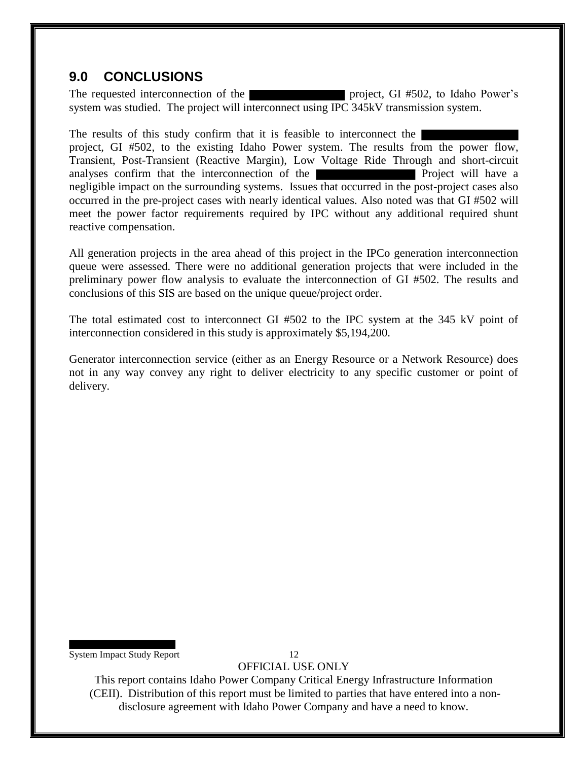### **9.0 CONCLUSIONS**

The requested interconnection of the project, GI #502, to Idaho Power's system was studied. The project will interconnect using IPC 345kV transmission system.

The results of this study confirm that it is feasible to interconnect the project, GI #502, to the existing Idaho Power system. The results from the power flow, Transient, Post-Transient (Reactive Margin), Low Voltage Ride Through and short-circuit analyses confirm that the interconnection of the **Project** will have a negligible impact on the surrounding systems. Issues that occurred in the post-project cases also occurred in the pre-project cases with nearly identical values. Also noted was that GI #502 will meet the power factor requirements required by IPC without any additional required shunt reactive compensation.

All generation projects in the area ahead of this project in the IPCo generation interconnection queue were assessed. There were no additional generation projects that were included in the preliminary power flow analysis to evaluate the interconnection of GI #502. The results and conclusions of this SIS are based on the unique queue/project order.

The total estimated cost to interconnect GI #502 to the IPC system at the 345 kV point of interconnection considered in this study is approximately \$5,194,200.

Generator interconnection service (either as an Energy Resource or a Network Resource) does not in any way convey any right to deliver electricity to any specific customer or point of delivery.

System Impact Study Report 12

OFFICIAL USE ONLY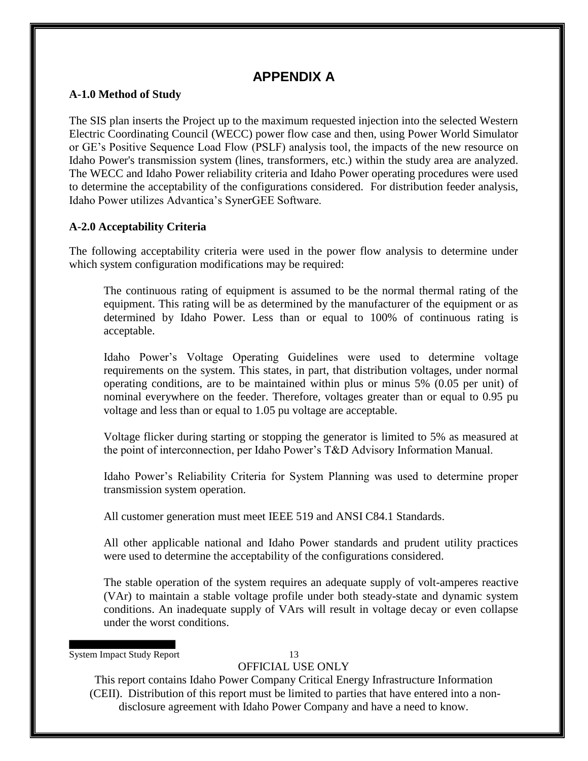### **APPENDIX A**

#### **A-1.0 Method of Study**

The SIS plan inserts the Project up to the maximum requested injection into the selected Western Electric Coordinating Council (WECC) power flow case and then, using Power World Simulator or GE's Positive Sequence Load Flow (PSLF) analysis tool, the impacts of the new resource on Idaho Power's transmission system (lines, transformers, etc.) within the study area are analyzed. The WECC and Idaho Power reliability criteria and Idaho Power operating procedures were used to determine the acceptability of the configurations considered. For distribution feeder analysis, Idaho Power utilizes Advantica's SynerGEE Software.

#### **A-2.0 Acceptability Criteria**

The following acceptability criteria were used in the power flow analysis to determine under which system configuration modifications may be required:

The continuous rating of equipment is assumed to be the normal thermal rating of the equipment. This rating will be as determined by the manufacturer of the equipment or as determined by Idaho Power. Less than or equal to 100% of continuous rating is acceptable.

Idaho Power's Voltage Operating Guidelines were used to determine voltage requirements on the system. This states, in part, that distribution voltages, under normal operating conditions, are to be maintained within plus or minus 5% (0.05 per unit) of nominal everywhere on the feeder. Therefore, voltages greater than or equal to 0.95 pu voltage and less than or equal to 1.05 pu voltage are acceptable.

Voltage flicker during starting or stopping the generator is limited to 5% as measured at the point of interconnection, per Idaho Power's T&D Advisory Information Manual.

Idaho Power's Reliability Criteria for System Planning was used to determine proper transmission system operation.

All customer generation must meet IEEE 519 and ANSI C84.1 Standards.

All other applicable national and Idaho Power standards and prudent utility practices were used to determine the acceptability of the configurations considered.

The stable operation of the system requires an adequate supply of volt-amperes reactive (VAr) to maintain a stable voltage profile under both steady-state and dynamic system conditions. An inadequate supply of VArs will result in voltage decay or even collapse under the worst conditions.

System Impact Study Report 13

### OFFICIAL USE ONLY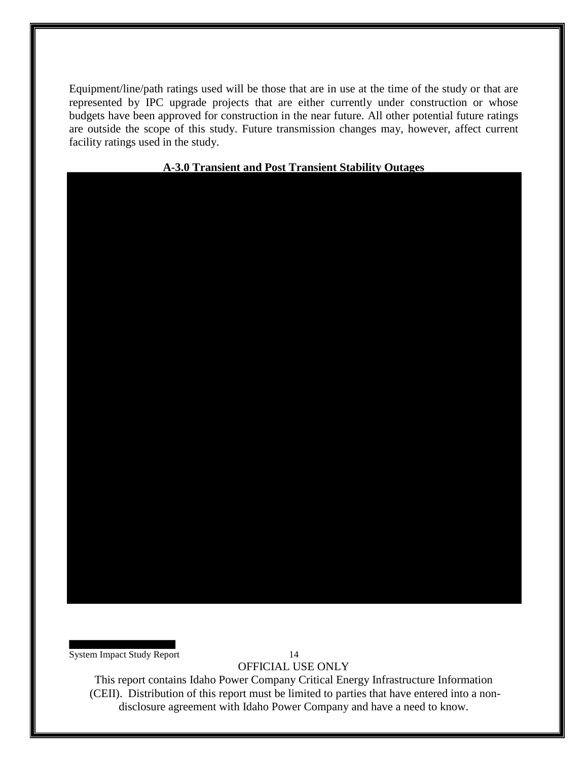Equipment/line/path ratings used will be those that are in use at the time of the study or that are represented by IPC upgrade projects that are either currently under construction or whose budgets have been approved for construction in the near future. All other potential future ratings are outside the scope of this study. Future transmission changes may, however, affect current facility ratings used in the study.

#### **A-3.0 Transient and Post Transient Stability Outages**

System Impact Study Report 14

OFFICIAL USE ONLY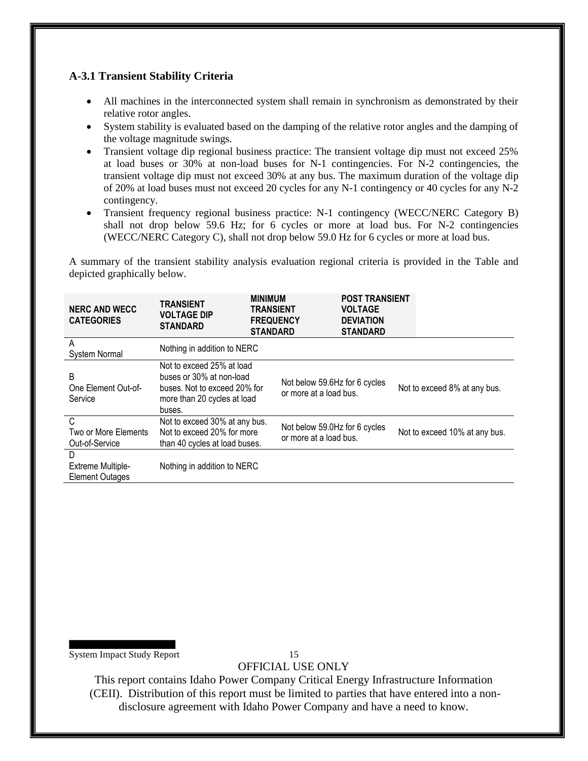#### **A-3.1 Transient Stability Criteria**

- All machines in the interconnected system shall remain in synchronism as demonstrated by their relative rotor angles.
- System stability is evaluated based on the damping of the relative rotor angles and the damping of the voltage magnitude swings.
- Transient voltage dip regional business practice: The transient voltage dip must not exceed 25% at load buses or 30% at non-load buses for N-1 contingencies. For N-2 contingencies, the transient voltage dip must not exceed 30% at any bus. The maximum duration of the voltage dip of 20% at load buses must not exceed 20 cycles for any N-1 contingency or 40 cycles for any N-2 contingency.
- Transient frequency regional business practice: N-1 contingency (WECC/NERC Category B) shall not drop below 59.6 Hz; for 6 cycles or more at load bus. For N-2 contingencies (WECC/NERC Category C), shall not drop below 59.0 Hz for 6 cycles or more at load bus.

A summary of the transient stability analysis evaluation regional criteria is provided in the Table and depicted graphically below.

| <b>NERC AND WECC</b><br><b>CATEGORIES</b>               | <b>TRANSIENT</b><br><b>VOLTAGE DIP</b><br><b>STANDARD</b>                                                                      |  | <b>MINIMUM</b><br>TRANSIENT<br><b>FREQUENCY</b><br><b>STANDARD</b> | <b>POST TRANSIENT</b><br><b>VOLTAGE</b><br><b>DEVIATION</b><br><b>STANDARD</b> |  |                               |
|---------------------------------------------------------|--------------------------------------------------------------------------------------------------------------------------------|--|--------------------------------------------------------------------|--------------------------------------------------------------------------------|--|-------------------------------|
| A<br><b>System Normal</b>                               | Nothing in addition to NERC                                                                                                    |  |                                                                    |                                                                                |  |                               |
| B<br>One Element Out-of-<br>Service                     | Not to exceed 25% at load<br>buses or 30% at non-load<br>buses. Not to exceed 20% for<br>more than 20 cycles at load<br>buses. |  | Not below 59.6Hz for 6 cycles<br>or more at a load bus.            |                                                                                |  | Not to exceed 8% at any bus.  |
| C<br>Two or More Elements<br>Out-of-Service             | Not to exceed 30% at any bus.<br>Not to exceed 20% for more<br>than 40 cycles at load buses.                                   |  | Not below 59.0Hz for 6 cycles<br>or more at a load bus.            |                                                                                |  | Not to exceed 10% at any bus. |
| D<br><b>Extreme Multiple-</b><br><b>Element Outages</b> | Nothing in addition to NERC                                                                                                    |  |                                                                    |                                                                                |  |                               |

System Impact Study Report 15

OFFICIAL USE ONLY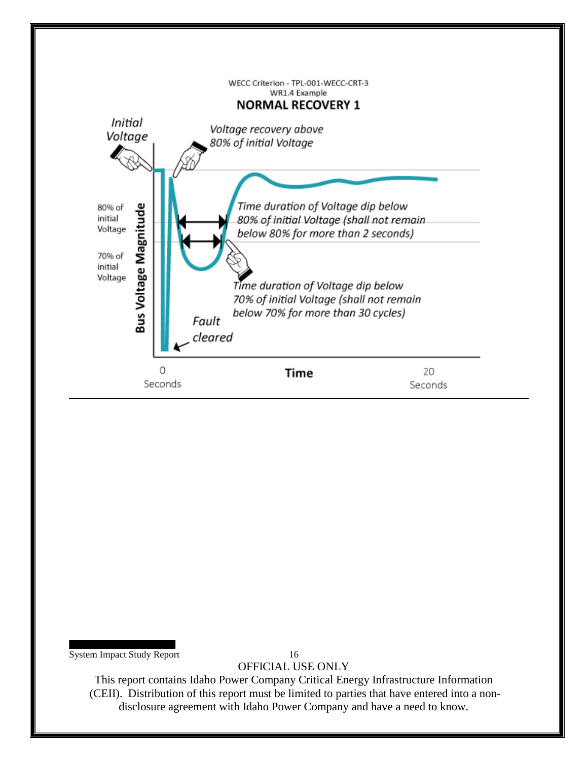

System Impact Study Report 16

OFFICIAL USE ONLY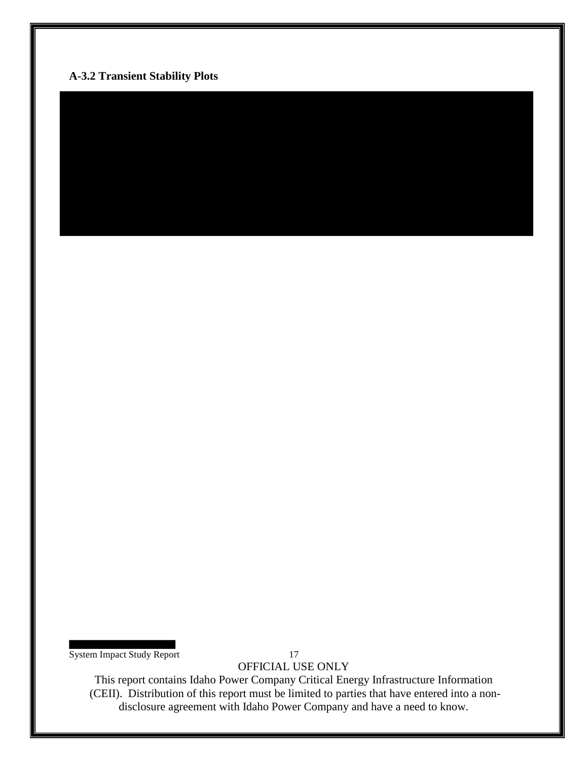### **A-3.2 Transient Stability Plots**

System Impact Study Report 17

OFFICIAL USE ONLY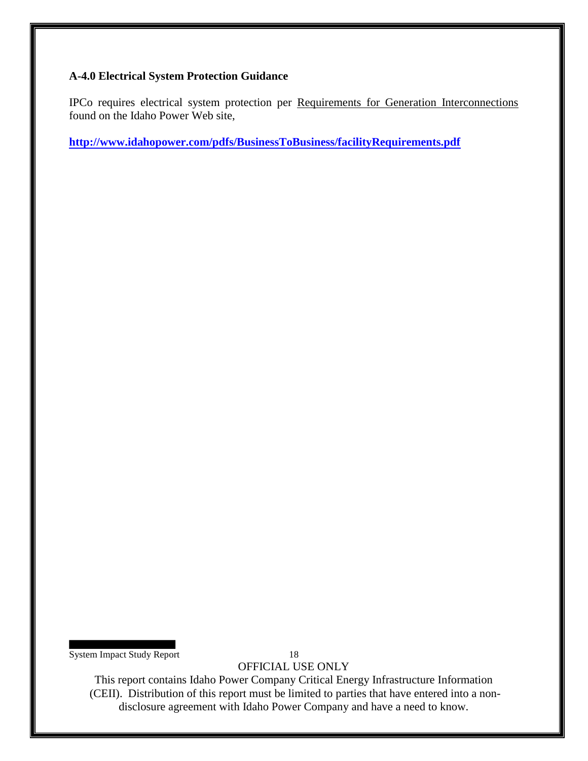#### **A-4.0 Electrical System Protection Guidance**

IPCo requires electrical system protection per Requirements for Generation Interconnections found on the Idaho Power Web site,

**http://www.idahopower.com/pdfs/BusinessToBusiness/facilityRequirements.pdf**

System Impact Study Report 18

OFFICIAL USE ONLY